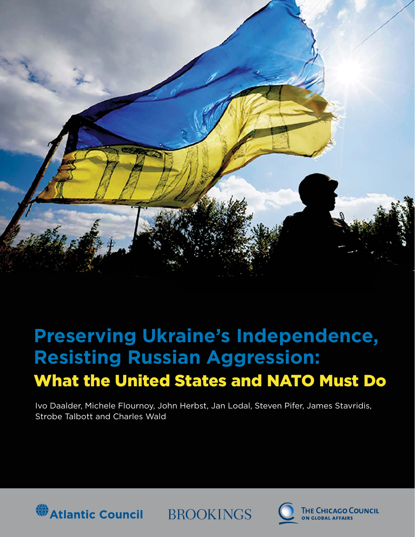

# **Preserving Ukraine's Independence, Resisting Russian Aggression:** What the United States and NATO Must Do

Ivo Daalder, Michele Flournoy, John Herbst, Jan Lodal, Steven Pifer, James Stavridis, Strobe Talbott and Charles Wald



**BROOKINGS** 

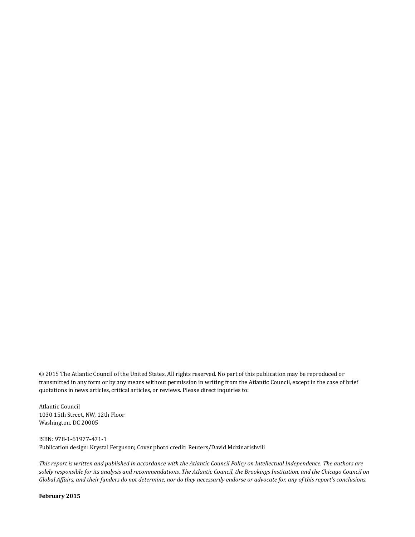© 2015 The Atlantic Council of the United States. All rights reserved. No part of this publication may be reproduced or transmitted in any form or by any means without permission in writing from the Atlantic Council, except in the case of brief quotations in news articles, critical articles, or reviews. Please direct inquiries to:

Atlantic Council 1030 15th Street, NW, 12th Floor Washington, DC 20005

ISBN: 978-1-61977-471-1 Publication design: Krystal Ferguson; Cover photo credit: Reuters/David Mdzinarishvili

*This report is written and published in accordance with the Atlantic Council Policy on Intellectual Independence. The authors are solely responsible for its analysis and recommendations. The Atlantic Council, the Brookings Institution, and the Chicago Council on Global Affairs, and their funders do not determine, nor do they necessarily endorse or advocate for, any of this report's conclusions.*

**February 2015**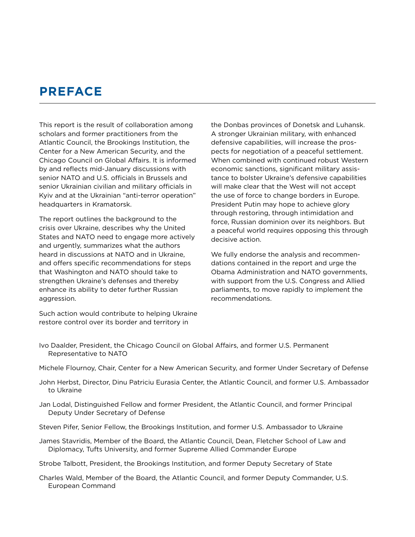# **PREFACE**

This report is the result of collaboration among scholars and former practitioners from the Atlantic Council, the Brookings Institution, the Center for a New American Security, and the Chicago Council on Global Affairs. It is informed by and reflects mid-January discussions with senior NATO and U.S. officials in Brussels and senior Ukrainian civilian and military officials in Kyiv and at the Ukrainian "anti-terror operation" headquarters in Kramatorsk.

The report outlines the background to the crisis over Ukraine, describes why the United States and NATO need to engage more actively and urgently, summarizes what the authors heard in discussions at NATO and in Ukraine, and offers specific recommendations for steps that Washington and NATO should take to strengthen Ukraine's defenses and thereby enhance its ability to deter further Russian aggression.

Such action would contribute to helping Ukraine restore control over its border and territory in

the Donbas provinces of Donetsk and Luhansk. A stronger Ukrainian military, with enhanced defensive capabilities, will increase the prospects for negotiation of a peaceful settlement. When combined with continued robust Western economic sanctions, significant military assistance to bolster Ukraine's defensive capabilities will make clear that the West will not accept the use of force to change borders in Europe. President Putin may hope to achieve glory through restoring, through intimidation and force, Russian dominion over its neighbors. But a peaceful world requires opposing this through decisive action.

We fully endorse the analysis and recommendations contained in the report and urge the Obama Administration and NATO governments, with support from the U.S. Congress and Allied parliaments, to move rapidly to implement the recommendations.

- Ivo Daalder, President, the Chicago Council on Global Affairs, and former U.S. Permanent Representative to NATO
- Michele Flournoy, Chair, Center for a New American Security, and former Under Secretary of Defense
- John Herbst, Director, Dinu Patriciu Eurasia Center, the Atlantic Council, and former U.S. Ambassador to Ukraine
- Jan Lodal, Distinguished Fellow and former President, the Atlantic Council, and former Principal Deputy Under Secretary of Defense
- Steven Pifer, Senior Fellow, the Brookings Institution, and former U.S. Ambassador to Ukraine
- James Stavridis, Member of the Board, the Atlantic Council, Dean, Fletcher School of Law and Diplomacy, Tufts University, and former Supreme Allied Commander Europe
- Strobe Talbott, President, the Brookings Institution, and former Deputy Secretary of State
- Charles Wald, Member of the Board, the Atlantic Council, and former Deputy Commander, U.S. European Command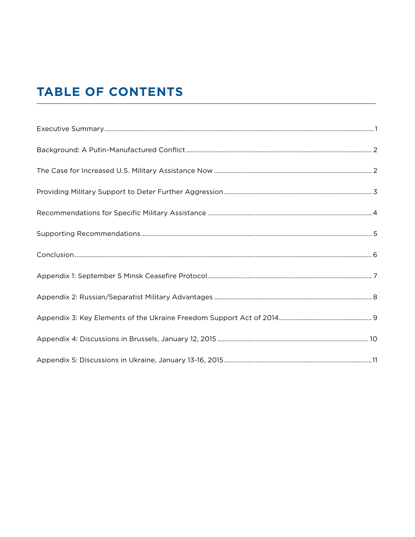# **TABLE OF CONTENTS**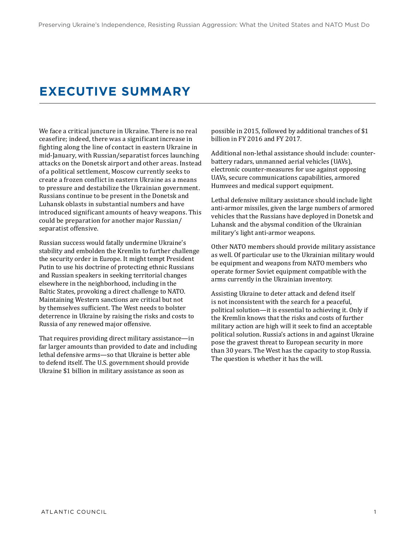# <span id="page-4-0"></span>**EXECUTIVE SUMMARY**

We face a critical juncture in Ukraine. There is no real ceasefire; indeed, there was a significant increase in fighting along the line of contact in eastern Ukraine in mid-January, with Russian/separatist forces launching attacks on the Donetsk airport and other areas. Instead of a political settlement, Moscow currently seeks to create a frozen conflict in eastern Ukraine as a means to pressure and destabilize the Ukrainian government. Russians continue to be present in the Donetsk and Luhansk oblasts in substantial numbers and have introduced significant amounts of heavy weapons. This could be preparation for another major Russian/ separatist offensive.

Russian success would fatally undermine Ukraine's stability and embolden the Kremlin to further challenge the security order in Europe. It might tempt President Putin to use his doctrine of protecting ethnic Russians and Russian speakers in seeking territorial changes elsewhere in the neighborhood, including in the Baltic States, provoking a direct challenge to NATO. Maintaining Western sanctions are critical but not by themselves sufficient. The West needs to bolster deterrence in Ukraine by raising the risks and costs to Russia of any renewed major offensive.

That requires providing direct military assistance—in far larger amounts than provided to date and including lethal defensive arms—so that Ukraine is better able to defend itself. The U.S. government should provide Ukraine \$1 billion in military assistance as soon as

possible in 2015, followed by additional tranches of \$1 billion in FY 2016 and FY 2017.

Additional non-lethal assistance should include: counterbattery radars, unmanned aerial vehicles (UAVs), electronic counter-measures for use against opposing UAVs, secure communications capabilities, armored Humvees and medical support equipment.

Lethal defensive military assistance should include light anti-armor missiles, given the large numbers of armored vehicles that the Russians have deployed in Donetsk and Luhansk and the abysmal condition of the Ukrainian military's light anti-armor weapons.

Other NATO members should provide military assistance as well. Of particular use to the Ukrainian military would be equipment and weapons from NATO members who operate former Soviet equipment compatible with the arms currently in the Ukrainian inventory.

Assisting Ukraine to deter attack and defend itself is not inconsistent with the search for a peaceful, political solution—it is essential to achieving it. Only if the Kremlin knows that the risks and costs of further military action are high will it seek to find an acceptable political solution. Russia's actions in and against Ukraine pose the gravest threat to European security in more than 30 years. The West has the capacity to stop Russia. The question is whether it has the will.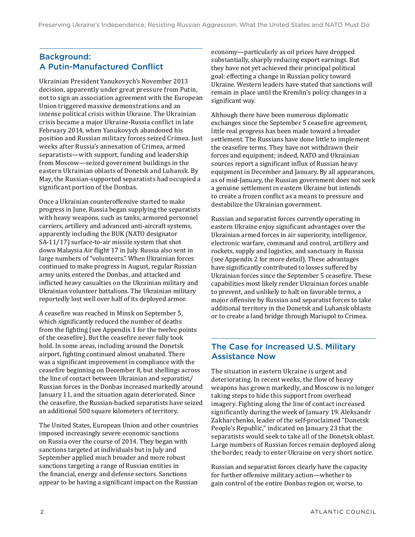### <span id="page-5-0"></span>Background: A Putin-Manufactured Conflict

Ukrainian President Yanukovych's November 2013 decision, apparently under great pressure from Putin, not to sign an association agreement with the European Union triggered massive demonstrations and an intense political crisis within Ukraine. The Ukrainian crisis became a major Ukraine-Russia conflict in late February 2014, when Yanukovych abandoned his position and Russian military forces seized Crimea. Just weeks after Russia's annexation of Crimea, armed separatists—with support, funding and leadership from Moscow—seized government buildings in the eastern Ukrainian oblasts of Donetsk and Luhansk. By May, the Russian-supported separatists had occupied a significant portion of the Donbas.

Once a Ukrainian counteroffensive started to make progress in June, Russia began supplying the separatists with heavy weapons, such as tanks, armored personnel carriers, artillery and advanced anti-aircraft systems, apparently including the BUK (NATO designator SA-11/17) surface-to-air missile system that shot down Malaysia Air flight 17 in July. Russia also sent in large numbers of "volunteers." When Ukrainian forces continued to make progress in August, regular Russian army units entered the Donbas, and attacked and inflicted heavy casualties on the Ukrainian military and Ukrainian volunteer battalions. The Ukrainian military reportedly lost well over half of its deployed armor.

A ceasefire was reached in Minsk on September 5, which significantly reduced the number of deaths from the fighting (see Appendix 1 for the twelve points of the ceasefire). But the ceasefire never fully took hold. In some areas, including around the Donetsk airport, fighting continued almost unabated. There was a significant improvement in compliance with the ceasefire beginning on December 8, but shellings across the line of contact between Ukrainian and separatist/ Russian forces in the Donbas increased markedly around January 11, and the situation again deteriorated. Since the ceasefire, the Russian-backed separatists have seized an additional 500 square kilometers of territory.

The United States, European Union and other countries imposed increasingly severe economic sanctions on Russia over the course of 2014. They began with sanctions targeted at individuals but in July and September applied much broader and more robust sanctions targeting a range of Russian entities in the financial, energy and defense sectors. Sanctions appear to be having a significant impact on the Russian

economy—particularly as oil prices have dropped substantially, sharply reducing export earnings. But they have not yet achieved their principal political goal: effecting a change in Russian policy toward Ukraine. Western leaders have stated that sanctions will remain in place until the Kremlin's policy changes in a significant way.

Although there have been numerous diplomatic exchanges since the September 5 ceasefire agreement, little real progress has been made toward a broader settlement. The Russians have done little to implement the ceasefire terms. They have not withdrawn their forces and equipment; indeed, NATO and Ukrainian sources report a significant influx of Russian heavy equipment in December and January. By all appearances, as of mid-January, the Russian government does not seek a genuine settlement in eastern Ukraine but intends to create a frozen conflict as a means to pressure and destabilize the Ukrainian government.

Russian and separatist forces currently operating in eastern Ukraine enjoy significant advantages over the Ukrainian armed forces in air superiority, intelligence, electronic warfare, command and control, artillery and rockets, supply and logistics, and sanctuary in Russia (see Appendix 2 for more detail). These advantages have significantly contributed to losses suffered by Ukrainian forces since the September 5 ceasefire. These capabilities most likely render Ukrainian forces unable to prevent, and unlikely to halt on favorable terms, a major offensive by Russian and separatist forces to take additional territory in the Donetsk and Luhansk oblasts or to create a land bridge through Mariupol to Crimea.

#### The Case for Increased U.S. Military Assistance Now

The situation in eastern Ukraine is urgent and deteriorating. In recent weeks, the flow of heavy weapons has grown markedly, and Moscow is no longer taking steps to hide this support from overhead imagery. Fighting along the line of contact increased significantly during the week of January 19. Aleksandr Zakharchenko, leader of the self-proclaimed "Donetsk People's Republic," indicated on January 23 that the separatists would seek to take all of the Donetsk oblast. Large numbers of Russian forces remain deployed along the border, ready to enter Ukraine on very short notice.

Russian and separatist forces clearly have the capacity for further offensive military action—whether to gain control of the entire Donbas region or, worse, to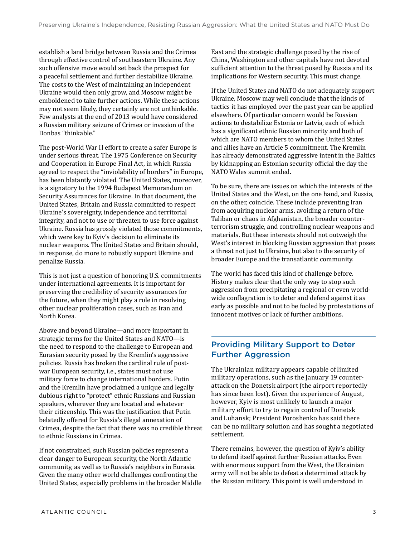<span id="page-6-0"></span>establish a land bridge between Russia and the Crimea through effective control of southeastern Ukraine. Any such offensive move would set back the prospect for a peaceful settlement and further destabilize Ukraine. The costs to the West of maintaining an independent Ukraine would then only grow, and Moscow might be emboldened to take further actions. While these actions may not seem likely, they certainly are not unthinkable. Few analysts at the end of 2013 would have considered a Russian military seizure of Crimea or invasion of the Donbas "thinkable."

The post-World War II effort to create a safer Europe is under serious threat. The 1975 Conference on Security and Cooperation in Europe Final Act, in which Russia agreed to respect the "inviolability of borders" in Europe, has been blatantly violated. The United States, moreover, is a signatory to the 1994 Budapest Memorandum on Security Assurances for Ukraine. In that document, the United States, Britain and Russia committed to respect Ukraine's sovereignty, independence and territorial integrity, and not to use or threaten to use force against Ukraine. Russia has grossly violated those commitments, which were key to Kyiv's decision to eliminate its nuclear weapons. The United States and Britain should, in response, do more to robustly support Ukraine and penalize Russia.

This is not just a question of honoring U.S. commitments under international agreements. It is important for preserving the credibility of security assurances for the future, when they might play a role in resolving other nuclear proliferation cases, such as Iran and North Korea.

Above and beyond Ukraine—and more important in strategic terms for the United States and NATO—is the need to respond to the challenge to European and Eurasian security posed by the Kremlin's aggressive policies. Russia has broken the cardinal rule of postwar European security, i.e., states must not use military force to change international borders. Putin and the Kremlin have proclaimed a unique and legally dubious right to "protect" ethnic Russians and Russian speakers, wherever they are located and whatever their citizenship. This was the justification that Putin belatedly offered for Russia's illegal annexation of Crimea, despite the fact that there was no credible threat to ethnic Russians in Crimea.

If not constrained, such Russian policies represent a clear danger to European security, the North Atlantic community, as well as to Russia's neighbors in Eurasia. Given the many other world challenges confronting the United States, especially problems in the broader Middle East and the strategic challenge posed by the rise of China, Washington and other capitals have not devoted sufficient attention to the threat posed by Russia and its implications for Western security. This must change.

If the United States and NATO do not adequately support Ukraine, Moscow may well conclude that the kinds of tactics it has employed over the past year can be applied elsewhere. Of particular concern would be Russian actions to destabilize Estonia or Latvia, each of which has a significant ethnic Russian minority and both of which are NATO members to whom the United States and allies have an Article 5 commitment. The Kremlin has already demonstrated aggressive intent in the Baltics by kidnapping an Estonian security official the day the NATO Wales summit ended.

To be sure, there are issues on which the interests of the United States and the West, on the one hand, and Russia, on the other, coincide. These include preventing Iran from acquiring nuclear arms, avoiding a return of the Taliban or chaos in Afghanistan, the broader counterterrorism struggle, and controlling nuclear weapons and materials. But these interests should not outweigh the West's interest in blocking Russian aggression that poses a threat not just to Ukraine, but also to the security of broader Europe and the transatlantic community.

The world has faced this kind of challenge before. History makes clear that the only way to stop such aggression from precipitating a regional or even worldwide conflagration is to deter and defend against it as early as possible and not to be fooled by protestations of innocent motives or lack of further ambitions.

### Providing Military Support to Deter Further Aggression

The Ukrainian military appears capable of limited military operations, such as the January 19 counterattack on the Donetsk airport (the airport reportedly has since been lost). Given the experience of August, however, Kyiv is most unlikely to launch a major military effort to try to regain control of Donetsk and Luhansk; President Poroshenko has said there can be no military solution and has sought a negotiated settlement.

There remains, however, the question of Kyiv's ability to defend itself against further Russian attacks. Even with enormous support from the West, the Ukrainian army will not be able to defeat a determined attack by the Russian military. This point is well understood in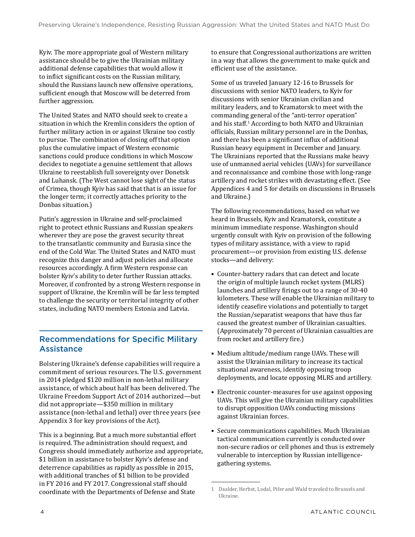<span id="page-7-0"></span>Kyiv. The more appropriate goal of Western military assistance should be to give the Ukrainian military additional defense capabilities that would allow it to inflict significant costs on the Russian military, should the Russians launch new offensive operations, sufficient enough that Moscow will be deterred from further aggression.

The United States and NATO should seek to create a situation in which the Kremlin considers the option of further military action in or against Ukraine too costly to pursue. The combination of closing off that option plus the cumulative impact of Western economic sanctions could produce conditions in which Moscow decides to negotiate a genuine settlement that allows Ukraine to reestablish full sovereignty over Donetsk and Luhansk. (The West cannot lose sight of the status of Crimea, though Kyiv has said that that is an issue for the longer term; it correctly attaches priority to the Donbas situation.)

Putin's aggression in Ukraine and self-proclaimed right to protect ethnic Russians and Russian speakers wherever they are pose the gravest security threat to the transatlantic community and Eurasia since the end of the Cold War. The United States and NATO must recognize this danger and adjust policies and allocate resources accordingly. A firm Western response can bolster Kyiv's ability to deter further Russian attacks. Moreover, if confronted by a strong Western response in support of Ukraine, the Kremlin will be far less tempted to challenge the security or territorial integrity of other states, including NATO members Estonia and Latvia.

### Recommendations for Specific Military **Assistance**

Bolstering Ukraine's defense capabilities will require a commitment of serious resources. The U.S. government in 2014 pledged \$120 million in non-lethal military assistance, of which about half has been delivered. The Ukraine Freedom Support Act of 2014 authorized—but did not appropriate—\$350 million in military assistance (non-lethal and lethal) over three years (see Appendix 3 for key provisions of the Act).

This is a beginning. But a much more substantial effort is required. The administration should request, and Congress should immediately authorize and appropriate, \$1 billion in assistance to bolster Kyiv's defense and deterrence capabilities as rapidly as possible in 2015, with additional tranches of \$1 billion to be provided in FY 2016 and FY 2017. Congressional staff should coordinate with the Departments of Defense and State

to ensure that Congressional authorizations are written in a way that allows the government to make quick and efficient use of the assistance.

Some of us traveled January 12-16 to Brussels for discussions with senior NATO leaders, to Kyiv for discussions with senior Ukrainian civilian and military leaders, and to Kramatorsk to meet with the commanding general of the "anti-terror operation" and his staff.1 According to both NATO and Ukrainian officials, Russian military personnel are in the Donbas, and there has been a significant influx of additional Russian heavy equipment in December and January. The Ukrainians reported that the Russians make heavy use of unmanned aerial vehicles (UAVs) for surveillance and reconnaissance and combine those with long-range artillery and rocket strikes with devastating effect. (See Appendices 4 and 5 for details on discussions in Brussels and Ukraine.)

The following recommendations, based on what we heard in Brussels, Kyiv and Kramatorsk, constitute a minimum immediate response. Washington should urgently consult with Kyiv on provision of the following types of military assistance, with a view to rapid procurement—or provision from existing U.S. defense stocks—and delivery:

- Counter-battery radars that can detect and locate the origin of multiple launch rocket system (MLRS) launches and artillery firings out to a range of 30-40 kilometers. These will enable the Ukrainian military to identify ceasefire violations and potentially to target the Russian/separatist weapons that have thus far caused the greatest number of Ukrainian casualties. (Approximately 70 percent of Ukrainian casualties are from rocket and artillery fire.)
- Medium altitude/medium range UAVs. These will assist the Ukrainian military to increase its tactical situational awareness, identify opposing troop deployments, and locate opposing MLRS and artillery.
- Electronic counter-measures for use against opposing UAVs. This will give the Ukrainian military capabilities to disrupt opposition UAVs conducting missions against Ukrainian forces.
- Secure communications capabilities. Much Ukrainian tactical communication currently is conducted over non-secure radios or cell phones and thus is extremely vulnerable to interception by Russian intelligencegathering systems.

<sup>1</sup> Daalder, Herbst, Lodal, Pifer and Wald traveled to Brussels and Ukraine.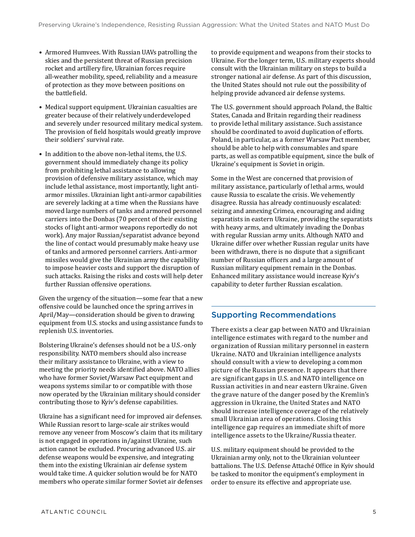- <span id="page-8-0"></span>• Armored Humvees. With Russian UAVs patrolling the skies and the persistent threat of Russian precision rocket and artillery fire, Ukrainian forces require all-weather mobility, speed, reliability and a measure of protection as they move between positions on the battlefield.
- Medical support equipment. Ukrainian casualties are greater because of their relatively underdeveloped and severely under resourced military medical system. The provision of field hospitals would greatly improve their soldiers' survival rate.
- In addition to the above non-lethal items, the U.S. government should immediately change its policy from prohibiting lethal assistance to allowing provision of defensive military assistance, which may include lethal assistance, most importantly, light antiarmor missiles. Ukrainian light anti-armor capabilities are severely lacking at a time when the Russians have moved large numbers of tanks and armored personnel carriers into the Donbas (70 percent of their existing stocks of light anti-armor weapons reportedly do not work). Any major Russian/separatist advance beyond the line of contact would presumably make heavy use of tanks and armored personnel carriers. Anti-armor missiles would give the Ukrainian army the capability to impose heavier costs and support the disruption of such attacks. Raising the risks and costs will help deter further Russian offensive operations.

Given the urgency of the situation—some fear that a new offensive could be launched once the spring arrives in April/May—consideration should be given to drawing equipment from U.S. stocks and using assistance funds to replenish U.S. inventories.

Bolstering Ukraine's defenses should not be a U.S.-only responsibility. NATO members should also increase their military assistance to Ukraine, with a view to meeting the priority needs identified above. NATO allies who have former Soviet/Warsaw Pact equipment and weapons systems similar to or compatible with those now operated by the Ukrainian military should consider contributing those to Kyiv's defense capabilities.

Ukraine has a significant need for improved air defenses. While Russian resort to large-scale air strikes would remove any veneer from Moscow's claim that its military is not engaged in operations in/against Ukraine, such action cannot be excluded. Procuring advanced U.S. air defense weapons would be expensive, and integrating them into the existing Ukrainian air defense system would take time. A quicker solution would be for NATO members who operate similar former Soviet air defenses to provide equipment and weapons from their stocks to Ukraine. For the longer term, U.S. military experts should consult with the Ukrainian military on steps to build a stronger national air defense. As part of this discussion, the United States should not rule out the possibility of helping provide advanced air defense systems.

The U.S. government should approach Poland, the Baltic States, Canada and Britain regarding their readiness to provide lethal military assistance. Such assistance should be coordinated to avoid duplication of efforts. Poland, in particular, as a former Warsaw Pact member, should be able to help with consumables and spare parts, as well as compatible equipment, since the bulk of Ukraine's equipment is Soviet in origin.

Some in the West are concerned that provision of military assistance, particularly of lethal arms, would cause Russia to escalate the crisis. We vehemently disagree. Russia has already continuously escalated: seizing and annexing Crimea, encouraging and aiding separatists in eastern Ukraine, providing the separatists with heavy arms, and ultimately invading the Donbas with regular Russian army units. Although NATO and Ukraine differ over whether Russian regular units have been withdrawn, there is no dispute that a significant number of Russian officers and a large amount of Russian military equipment remain in the Donbas. Enhanced military assistance would increase Kyiv's capability to deter further Russian escalation.

### Supporting Recommendations

There exists a clear gap between NATO and Ukrainian intelligence estimates with regard to the number and organization of Russian military personnel in eastern Ukraine. NATO and Ukrainian intelligence analysts should consult with a view to developing a common picture of the Russian presence. It appears that there are significant gaps in U.S. and NATO intelligence on Russian activities in and near eastern Ukraine. Given the grave nature of the danger posed by the Kremlin's aggression in Ukraine, the United States and NATO should increase intelligence coverage of the relatively small Ukrainian area of operations. Closing this intelligence gap requires an immediate shift of more intelligence assets to the Ukraine/Russia theater.

U.S. military equipment should be provided to the Ukrainian army only, not to the Ukrainian volunteer battalions. The U.S. Defense Attaché Office in Kyiv should be tasked to monitor the equipment's employment in order to ensure its effective and appropriate use.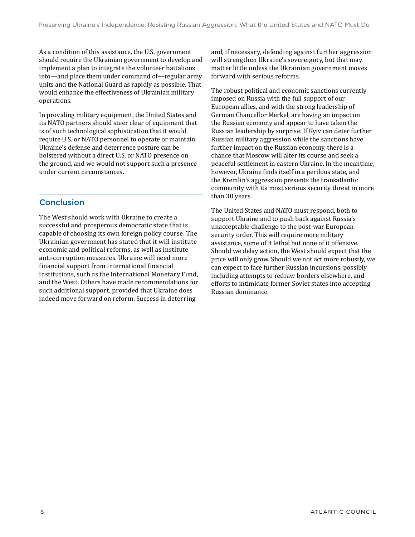<span id="page-9-0"></span>As a condition of this assistance, the U.S. government should require the Ukrainian government to develop and implement a plan to integrate the volunteer battalions into—and place them under command of—regular army units and the National Guard as rapidly as possible. That would enhance the effectiveness of Ukrainian military operations.

In providing military equipment, the United States and its NATO partners should steer clear of equipment that is of such technological sophistication that it would require U.S. or NATO personnel to operate or maintain. Ukraine's defense and deterrence posture can be bolstered without a direct U.S. or NATO presence on the ground, and we would not support such a presence under current circumstances.

### Conclusion

The West should work with Ukraine to create a successful and prosperous democratic state that is capable of choosing its own foreign policy course. The Ukrainian government has stated that it will institute economic and political reforms, as well as institute anti-corruption measures. Ukraine will need more financial support from international financial institutions, such as the International Monetary Fund, and the West. Others have made recommendations for such additional support, provided that Ukraine does indeed move forward on reform. Success in deterring

and, if necessary, defending against further aggression will strengthen Ukraine's sovereignty, but that may matter little unless the Ukrainian government moves forward with serious reforms.

The robust political and economic sanctions currently imposed on Russia with the full support of our European allies, and with the strong leadership of German Chancellor Merkel, are having an impact on the Russian economy and appear to have taken the Russian leadership by surprise. If Kyiv can deter further Russian military aggression while the sanctions have further impact on the Russian economy, there is a chance that Moscow will alter its course and seek a peaceful settlement in eastern Ukraine. In the meantime, however, Ukraine finds itself in a perilous state, and the Kremlin's aggression presents the transatlantic community with its most serious security threat in more than 30 years.

The United States and NATO must respond, both to support Ukraine and to push back against Russia's unacceptable challenge to the post-war European security order. This will require more military assistance, some of it lethal but none of it offensive. Should we delay action, the West should expect that the price will only grow. Should we not act more robustly, we can expect to face further Russian incursions, possibly including attempts to redraw borders elsewhere, and efforts to intimidate former Soviet states into accepting Russian dominance.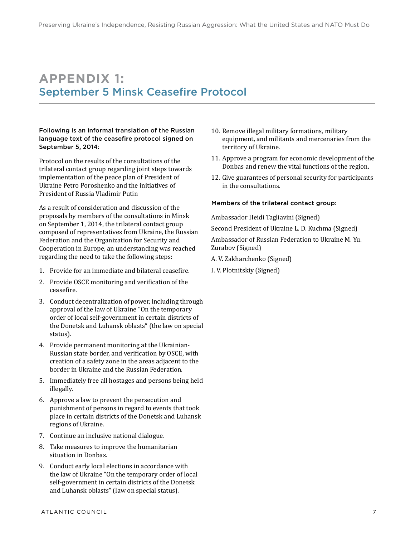### <span id="page-10-0"></span>**APPENDIX 1:** September 5 Minsk Ceasefire Protocol

Following is an informal translation of the Russian language text of the ceasefire protocol signed on September 5, 2014:

Protocol on the results of the consultations of the trilateral contact group regarding joint steps towards implementation of the peace plan of President of Ukraine Petro Poroshenko and the initiatives of President of Russia Vladimir Putin

As a result of consideration and discussion of the proposals by members of the consultations in Minsk on September 1, 2014, the trilateral contact group composed of representatives from Ukraine, the Russian Federation and the Organization for Security and Cooperation in Europe, an understanding was reached regarding the need to take the following steps:

- 1. Provide for an immediate and bilateral ceasefire.
- 2. Provide OSCE monitoring and verification of the ceasefire.
- 3. Conduct decentralization of power, including through approval of the law of Ukraine "On the temporary order of local self-government in certain districts of the Donetsk and Luhansk oblasts" (the law on special status).
- 4. Provide permanent monitoring at the Ukrainian-Russian state border, and verification by OSCE, with creation of a safety zone in the areas adjacent to the border in Ukraine and the Russian Federation.
- 5. Immediately free all hostages and persons being held illegally.
- 6. Approve a law to prevent the persecution and punishment of persons in regard to events that took place in certain districts of the Donetsk and Luhansk regions of Ukraine.
- 7. Continue an inclusive national dialogue.
- 8. Take measures to improve the humanitarian situation in Donbas.
- 9. Conduct early local elections in accordance with the law of Ukraine "On the temporary order of local self-government in certain districts of the Donetsk and Luhansk oblasts" (law on special status).
- 10. Remove illegal military formations, military equipment, and militants and mercenaries from the territory of Ukraine.
- 11. Approve a program for economic development of the Donbas and renew the vital functions of the region.
- 12. Give guarantees of personal security for participants in the consultations.

#### Members of the trilateral contact group:

Ambassador Heidi Tagliavini (Signed)

Second President of Ukraine L. D. Kuchma (Signed)

Ambassador of Russian Federation to Ukraine M. Yu. Zurabov (Signed)

A. V. Zakharchenko (Signed)

I. V. Plotnitskiy (Signed)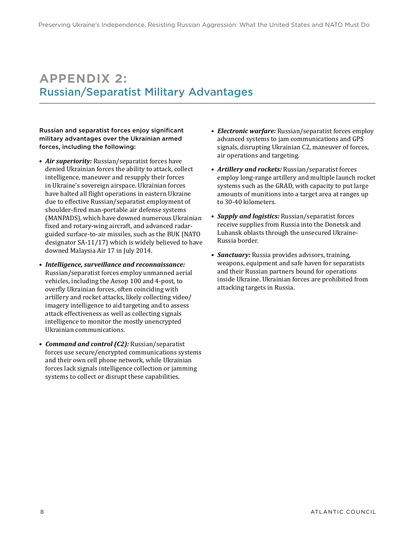# <span id="page-11-0"></span>**APPENDIX 2:** Russian/Separatist Military Advantages

Russian and separatist forces enjoy significant military advantages over the Ukrainian armed forces, including the following:

- *Air superiority:* Russian/separatist forces have denied Ukrainian forces the ability to attack, collect intelligence, maneuver and resupply their forces in Ukraine's sovereign airspace. Ukrainian forces have halted all flight operations in eastern Ukraine due to effective Russian/separatist employment of shoulder-fired man-portable air defense systems (MANPADS), which have downed numerous Ukrainian fixed and rotary-wing aircraft, and advanced radarguided surface-to-air missiles, such as the BUK (NATO designator SA-11/17) which is widely believed to have downed Malaysia Air 17 in July 2014.
- *Intelligence, surveillance and reconnaissance:* Russian/separatist forces employ unmanned aerial vehicles, including the Aesop 100 and 4-post, to overfly Ukrainian forces, often coinciding with artillery and rocket attacks, likely collecting video/ imagery intelligence to aid targeting and to assess attack effectiveness as well as collecting signals intelligence to monitor the mostly unencrypted Ukrainian communications.
- *Command and control (C2):* Russian/separatist forces use secure/encrypted communications systems and their own cell phone network, while Ukrainian forces lack signals intelligence collection or jamming systems to collect or disrupt these capabilities.
- *Electronic warfare:* Russian/separatist forces employ advanced systems to jam communications and GPS signals, disrupting Ukrainian C2, maneuver of forces, air operations and targeting.
- *Artillery and rockets:* Russian/separatist forces employ long-range artillery and multiple launch rocket systems such as the GRAD, with capacity to put large amounts of munitions into a target area at ranges up to 30-40 kilometers.
- *Supply and logistics:* Russian/separatist forces receive supplies from Russia into the Donetsk and Luhansk oblasts through the unsecured Ukraine-Russia border.
- *Sanctuary:* Russia provides advisors, training, weapons, equipment and safe haven for separatists and their Russian partners bound for operations inside Ukraine. Ukrainian forces are prohibited from attacking targets in Russia.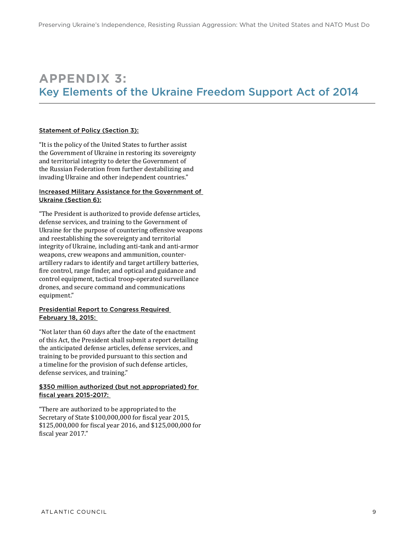### <span id="page-12-0"></span>**APPENDIX 3:** Key Elements of the Ukraine Freedom Support Act of 2014

#### Statement of Policy (Section 3):

"It is the policy of the United States to further assist the Government of Ukraine in restoring its sovereignty and territorial integrity to deter the Government of the Russian Federation from further destabilizing and invading Ukraine and other independent countries."

#### Increased Military Assistance for the Government of Ukraine (Section 6):

"The President is authorized to provide defense articles, defense services, and training to the Government of Ukraine for the purpose of countering offensive weapons and reestablishing the sovereignty and territorial integrity of Ukraine, including anti-tank and anti-armor weapons, crew weapons and ammunition, counterartillery radars to identify and target artillery batteries, fire control, range finder, and optical and guidance and control equipment, tactical troop-operated surveillance drones, and secure command and communications equipment."

#### Presidential Report to Congress Required February 18, 2015:

"Not later than 60 days after the date of the enactment of this Act, the President shall submit a report detailing the anticipated defense articles, defense services, and training to be provided pursuant to this section and a timeline for the provision of such defense articles, defense services, and training."

#### \$350 million authorized (but not appropriated) for fiscal years 2015-2017:

"There are authorized to be appropriated to the Secretary of State \$100,000,000 for fiscal year 2015, \$125,000,000 for fiscal year 2016, and \$125,000,000 for fiscal year 2017."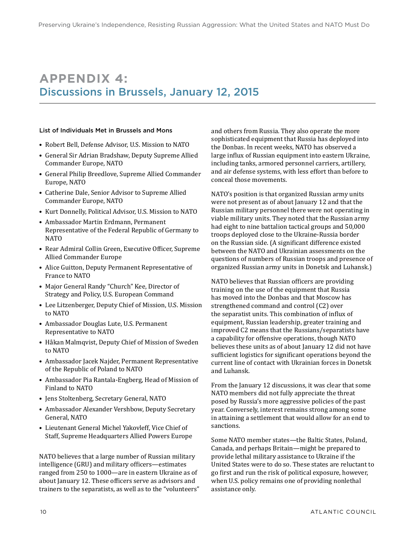# <span id="page-13-0"></span>**APPENDIX 4:** Discussions in Brussels, January 12, 2015

#### List of Individuals Met in Brussels and Mons

- Robert Bell, Defense Advisor, U.S. Mission to NATO
- General Sir Adrian Bradshaw, Deputy Supreme Allied Commander Europe, NATO
- General Philip Breedlove, Supreme Allied Commander Europe, NATO
- Catherine Dale, Senior Advisor to Supreme Allied Commander Europe, NATO
- Kurt Donnelly, Political Advisor, U.S. Mission to NATO
- Ambassador Martin Erdmann, Permanent Representative of the Federal Republic of Germany to NATO
- Rear Admiral Collin Green, Executive Officer, Supreme Allied Commander Europe
- Alice Guitton, Deputy Permanent Representative of France to NATO
- Major General Randy "Church" Kee, Director of Strategy and Policy, U.S. European Command
- Lee Litzenberger, Deputy Chief of Mission, U.S. Mission to NATO
- Ambassador Douglas Lute, U.S. Permanent Representative to NATO
- Håkan Malmqvist, Deputy Chief of Mission of Sweden to NATO
- Ambassador Jacek Najder, Permanent Representative of the Republic of Poland to NATO
- Ambassador Pia Rantala-Engberg, Head of Mission of Finland to NATO
- Jens Stoltenberg, Secretary General, NATO
- Ambassador Alexander Vershbow, Deputy Secretary General, NATO
- Lieutenant General Michel Yakovleff, Vice Chief of Staff, Supreme Headquarters Allied Powers Europe

NATO believes that a large number of Russian military intelligence (GRU) and military officers—estimates ranged from 250 to 1000—are in eastern Ukraine as of about January 12. These officers serve as advisors and trainers to the separatists, as well as to the "volunteers" and others from Russia. They also operate the more sophisticated equipment that Russia has deployed into the Donbas. In recent weeks, NATO has observed a large influx of Russian equipment into eastern Ukraine, including tanks, armored personnel carriers, artillery, and air defense systems, with less effort than before to conceal those movements.

NATO's position is that organized Russian army units were not present as of about January 12 and that the Russian military personnel there were not operating in viable military units. They noted that the Russian army had eight to nine battalion tactical groups and 50,000 troops deployed close to the Ukraine-Russia border on the Russian side. (A significant difference existed between the NATO and Ukrainian assessments on the questions of numbers of Russian troops and presence of organized Russian army units in Donetsk and Luhansk.)

NATO believes that Russian officers are providing training on the use of the equipment that Russia has moved into the Donbas and that Moscow has strengthened command and control (C2) over the separatist units. This combination of influx of equipment, Russian leadership, greater training and improved C2 means that the Russians/separatists have a capability for offensive operations, though NATO believes these units as of about January 12 did not have sufficient logistics for significant operations beyond the current line of contact with Ukrainian forces in Donetsk and Luhansk.

From the January 12 discussions, it was clear that some NATO members did not fully appreciate the threat posed by Russia's more aggressive policies of the past year. Conversely, interest remains strong among some in attaining a settlement that would allow for an end to sanctions.

Some NATO member states—the Baltic States, Poland, Canada, and perhaps Britain—might be prepared to provide lethal military assistance to Ukraine if the United States were to do so. These states are reluctant to go first and run the risk of political exposure, however, when U.S. policy remains one of providing nonlethal assistance only.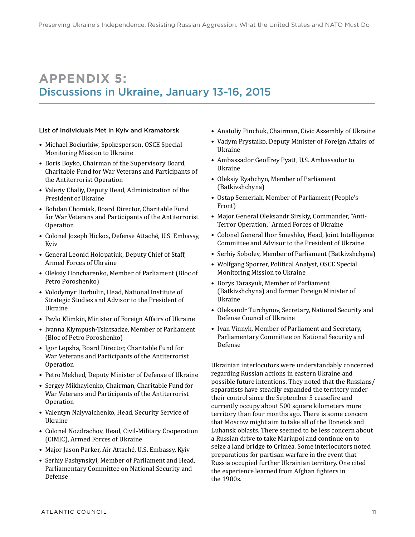# <span id="page-14-0"></span>**APPENDIX 5:** Discussions in Ukraine, January 13-16, 2015

#### List of Individuals Met in Kyiv and Kramatorsk

- Michael Bociurkiw, Spokesperson, OSCE Special Monitoring Mission to Ukraine
- Boris Boyko, Chairman of the Supervisory Board, Charitable Fund for War Veterans and Participants of the Antiterrorist Operation
- Valeriy Chaliy, Deputy Head, Administration of the President of Ukraine
- Bohdan Chomiak, Board Director, Charitable Fund for War Veterans and Participants of the Antiterrorist **Operation**
- Colonel Joseph Hickox, Defense Attaché, U.S. Embassy, Kyiv
- General Leonid Holopatiuk, Deputy Chief of Staff, Armed Forces of Ukraine
- Oleksiy Honcharenko, Member of Parliament (Bloc of Petro Poroshenko)
- Volodymyr Horbulin, Head, National Institute of Strategic Studies and Advisor to the President of Ukraine
- Pavlo Klimkin, Minister of Foreign Affairs of Ukraine
- Ivanna Klympush-Tsintsadze, Member of Parliament (Bloc of Petro Poroshenko)
- Igor Lepsha, Board Director, Charitable Fund for War Veterans and Participants of the Antiterrorist **Operation**
- Petro Mekhed, Deputy Minister of Defense of Ukraine
- Sergey Mikhaylenko, Chairman, Charitable Fund for War Veterans and Participants of the Antiterrorist Operation
- Valentyn Nalyvaichenko, Head, Security Service of Ukraine
- Colonel Nozdrachov, Head, Civil-Military Cooperation (CIMIC), Armed Forces of Ukraine
- Major Jason Parker, Air Attaché, U.S. Embassy, Kyiv
- Serhiy Pashynskyi, Member of Parliament and Head, Parliamentary Committee on National Security and Defense
- Anatoliy Pinchuk, Chairman, Civic Assembly of Ukraine
- Vadym Prystaiko, Deputy Minister of Foreign Affairs of Ukraine
- Ambassador Geoffrey Pyatt, U.S. Ambassador to Ukraine
- Oleksiy Ryabchyn, Member of Parliament (Batkivshchyna)
- Ostap Semeriak, Member of Parliament (People's Front)
- Major General Oleksandr Sirskiy, Commander, "Anti-Terror Operation," Armed Forces of Ukraine
- Colonel General Ihor Smeshko, Head, Joint Intelligence Committee and Advisor to the President of Ukraine
- Serhiy Sobolev, Member of Parliament (Batkivshchyna)
- Wolfgang Sporrer, Political Analyst, OSCE Special Monitoring Mission to Ukraine
- Borys Tarasyuk, Member of Parliament (Batkivshchyna) and former Foreign Minister of Ukraine
- Oleksandr Turchynov, Secretary, National Security and Defense Council of Ukraine
- Ivan Vinnyk, Member of Parliament and Secretary, Parliamentary Committee on National Security and Defense

Ukrainian interlocutors were understandably concerned regarding Russian actions in eastern Ukraine and possible future intentions. They noted that the Russians/ separatists have steadily expanded the territory under their control since the September 5 ceasefire and currently occupy about 500 square kilometers more territory than four months ago. There is some concern that Moscow might aim to take all of the Donetsk and Luhansk oblasts. There seemed to be less concern about a Russian drive to take Mariupol and continue on to seize a land bridge to Crimea. Some interlocutors noted preparations for partisan warfare in the event that Russia occupied further Ukrainian territory. One cited the experience learned from Afghan fighters in the 1980s.